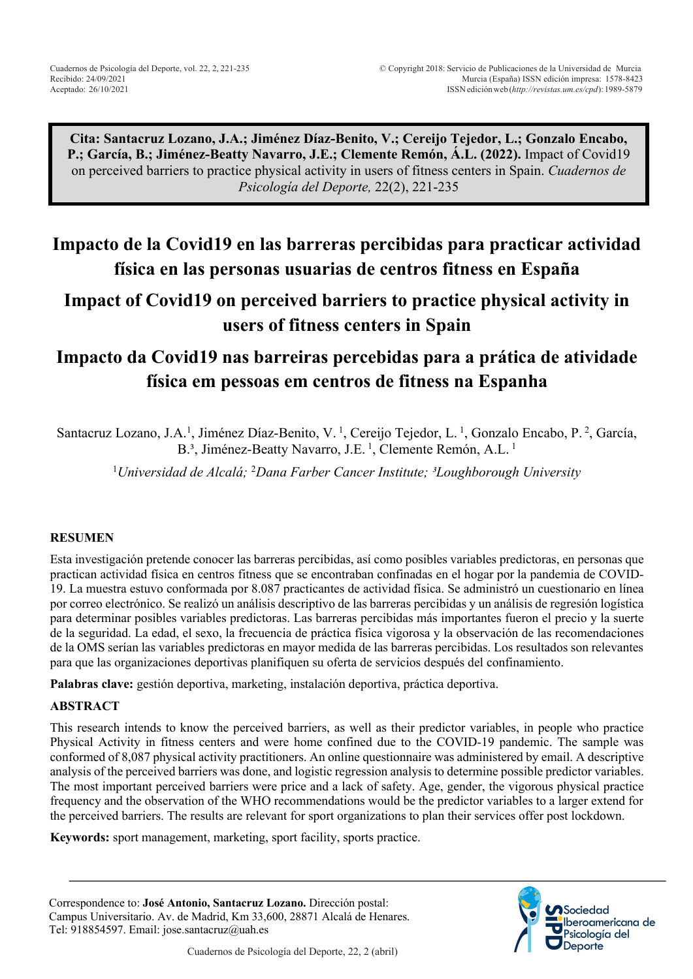**Cita: Santacruz Lozano, J.A.; Jiménez Díaz-Benito, V.; Cereijo Tejedor, L.; Gonzalo Encabo, P.; García, B.; Jiménez-Beatty Navarro, J.E.; Clemente Remón, Á.L. (2022).** Impact of Covid19 on perceived barriers to practice physical activity in users of fitness centers in Spain. *Cuadernos de Psicología del Deporte,* 22(2), 221-235

# **Impacto de la Covid19 en las barreras percibidas para practicar actividad física en las personas usuarias de centros fitness en España**

## **Impact of Covid19 on perceived barriers to practice physical activity in users of fitness centers in Spain**

# **Impacto da Covid19 nas barreiras percebidas para a prática de atividade física em pessoas em centros de fitness na Espanha**

Santacruz Lozano, J.A.<sup>1</sup>, Jiménez Díaz-Benito, V.<sup>1</sup>, Cereijo Tejedor, L.<sup>1</sup>, Gonzalo Encabo, P.<sup>2</sup>, García, B.<sup>3</sup>, Jiménez-Beatty Navarro, J.E.<sup>1</sup>, Clemente Remón, A.L.<sup>1</sup>

<sup>1</sup>Universidad de Alcalá; <sup>2</sup>Dana Farber Cancer Institute; <sup>3</sup>Loughborough University

#### **RESUMEN**

Esta investigación pretende conocer las barreras percibidas, así como posibles variables predictoras, en personas que practican actividad física en centros fitness que se encontraban confinadas en el hogar por la pandemia de COVID-19. La muestra estuvo conformada por 8.087 practicantes de actividad física. Se administró un cuestionario en línea por correo electrónico. Se realizó un análisis descriptivo de las barreras percibidas y un análisis de regresión logística para determinar posibles variables predictoras. Las barreras percibidas más importantes fueron el precio y la suerte de la seguridad. La edad, el sexo, la frecuencia de práctica física vigorosa y la observación de las recomendaciones de la OMS serían las variables predictoras en mayor medida de las barreras percibidas. Los resultados son relevantes para que las organizaciones deportivas planifiquen su oferta de servicios después del confinamiento.

**Palabras clave:** gestión deportiva, marketing, instalación deportiva, práctica deportiva.

#### **ABSTRACT**

This research intends to know the perceived barriers, as well as their predictor variables, in people who practice Physical Activity in fitness centers and were home confined due to the COVID-19 pandemic. The sample was conformed of 8,087 physical activity practitioners. An online questionnaire was administered by email. A descriptive analysis of the perceived barriers was done, and logistic regression analysis to determine possible predictor variables. The most important perceived barriers were price and a lack of safety. Age, gender, the vigorous physical practice frequency and the observation of the WHO recommendations would be the predictor variables to a larger extend for the perceived barriers. The results are relevant for sport organizations to plan their services offer post lockdown.

**Keywords:** sport management, marketing, sport facility, sports practice.

Correspondence to: **José Antonio, Santacruz Lozano.** Dirección postal: Campus Universitario. Av. de Madrid, Km 33,600, 28871 Alcalá de Henares. Tel: 918854597. Email: jose.santacruz@uah.es

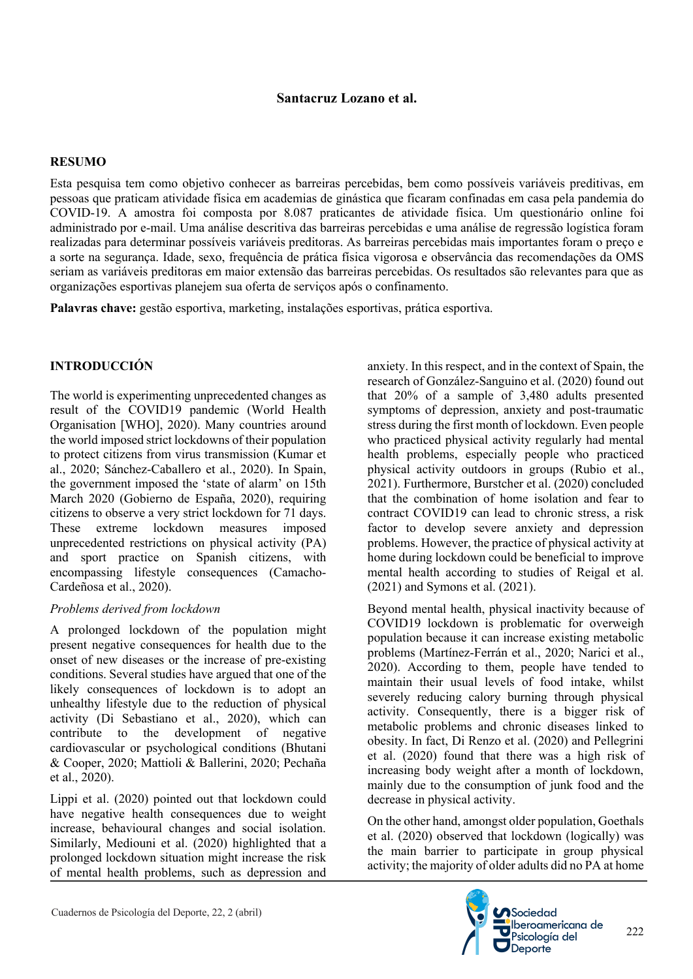#### **Santacruz Lozano et al.**

#### **RESUMO**

Esta pesquisa tem como objetivo conhecer as barreiras percebidas, bem como possíveis variáveis preditivas, em pessoas que praticam atividade física em academias de ginástica que ficaram confinadas em casa pela pandemia do COVID-19. A amostra foi composta por 8.087 praticantes de atividade física. Um questionário online foi administrado por e-mail. Uma análise descritiva das barreiras percebidas e uma análise de regressão logística foram realizadas para determinar possíveis variáveis preditoras. As barreiras percebidas mais importantes foram o preço e a sorte na segurança. Idade, sexo, frequência de prática física vigorosa e observância das recomendações da OMS seriam as variáveis preditoras em maior extensão das barreiras percebidas. Os resultados são relevantes para que as organizações esportivas planejem sua oferta de serviços após o confinamento.

**Palavras chave:** gestão esportiva, marketing, instalações esportivas, prática esportiva.

#### **INTRODUCCIÓN**

The world is experimenting unprecedented changes as result of the COVID19 pandemic (World Health Organisation [WHO], 2020). Many countries around the world imposed strict lockdowns of their population to protect citizens from virus transmission (Kumar et al., 2020; Sánchez-Caballero et al., 2020). In Spain, the government imposed the 'state of alarm' on 15th March 2020 (Gobierno de España, 2020), requiring citizens to observe a very strict lockdown for 71 days. These extreme lockdown measures imposed unprecedented restrictions on physical activity (PA) and sport practice on Spanish citizens, with encompassing lifestyle consequences (Camacho-Cardeñosa et al., 2020).

#### *Problems derived from lockdown*

A prolonged lockdown of the population might present negative consequences for health due to the onset of new diseases or the increase of pre-existing conditions. Several studies have argued that one of the likely consequences of lockdown is to adopt an unhealthy lifestyle due to the reduction of physical activity (Di Sebastiano et al., 2020), which can contribute to the development of negative cardiovascular or psychological conditions (Bhutani & Cooper, 2020; Mattioli & Ballerini, 2020; Pechaña et al., 2020).

Lippi et al. (2020) pointed out that lockdown could have negative health consequences due to weight increase, behavioural changes and social isolation. Similarly, Mediouni et al. (2020) highlighted that a prolonged lockdown situation might increase the risk of mental health problems, such as depression and anxiety. In this respect, and in the context of Spain, the research of González-Sanguino et al. (2020) found out that 20% of a sample of 3,480 adults presented symptoms of depression, anxiety and post-traumatic stress during the first month of lockdown. Even people who practiced physical activity regularly had mental health problems, especially people who practiced physical activity outdoors in groups (Rubio et al., 2021). Furthermore, Burstcher et al. (2020) concluded that the combination of home isolation and fear to contract COVID19 can lead to chronic stress, a risk factor to develop severe anxiety and depression problems. However, the practice of physical activity at home during lockdown could be beneficial to improve mental health according to studies of Reigal et al. (2021) and Symons et al. (2021).

Beyond mental health, physical inactivity because of COVID19 lockdown is problematic for overweigh population because it can increase existing metabolic problems (Martínez-Ferrán et al., 2020; Narici et al., 2020). According to them, people have tended to maintain their usual levels of food intake, whilst severely reducing calory burning through physical activity. Consequently, there is a bigger risk of metabolic problems and chronic diseases linked to obesity. In fact, Di Renzo et al. (2020) and Pellegrini et al. (2020) found that there was a high risk of increasing body weight after a month of lockdown, mainly due to the consumption of junk food and the decrease in physical activity.

On the other hand, amongst older population, Goethals et al. (2020) observed that lockdown (logically) was the main barrier to participate in group physical activity; the majority of older adults did no PA at home

 $222$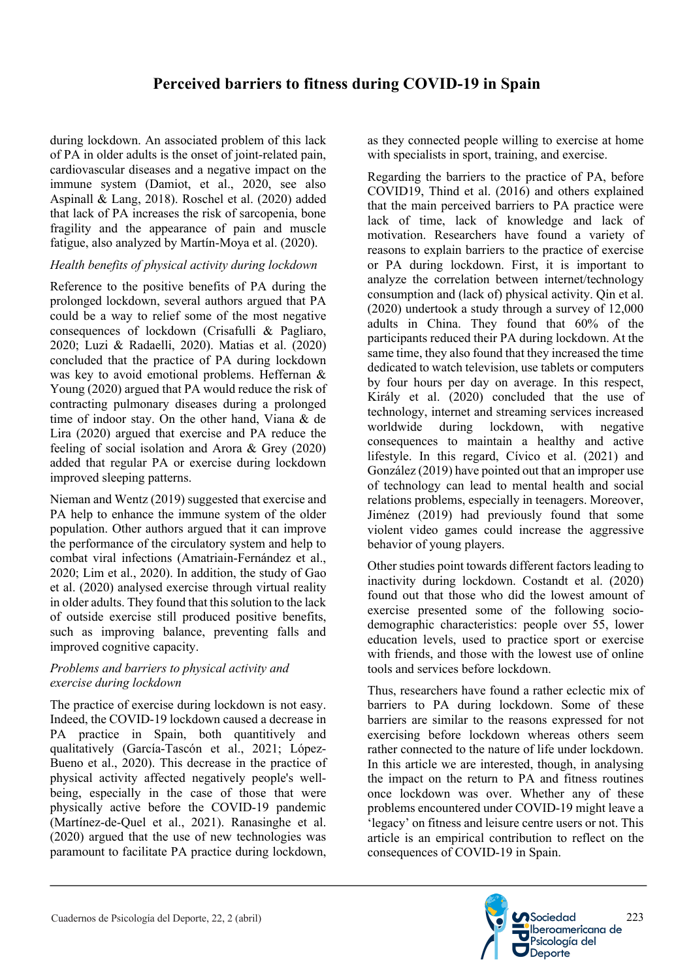during lockdown. An associated problem of this lack of PA in older adults is the onset of joint-related pain, cardiovascular diseases and a negative impact on the immune system (Damiot, et al., 2020, see also Aspinall & Lang, 2018). Roschel et al. (2020) added that lack of PA increases the risk of sarcopenia, bone fragility and the appearance of pain and muscle fatigue, also analyzed by Martín-Moya et al. (2020).

#### *Health benefits of physical activity during lockdown*

Reference to the positive benefits of PA during the prolonged lockdown, several authors argued that PA could be a way to relief some of the most negative consequences of lockdown (Crisafulli & Pagliaro, 2020; Luzi & Radaelli, 2020). Matias et al. (2020) concluded that the practice of PA during lockdown was key to avoid emotional problems. Heffernan & Young (2020) argued that PA would reduce the risk of contracting pulmonary diseases during a prolonged time of indoor stay. On the other hand, Viana & de Lira (2020) argued that exercise and PA reduce the feeling of social isolation and Arora & Grey (2020) added that regular PA or exercise during lockdown improved sleeping patterns.

Nieman and Wentz (2019) suggested that exercise and PA help to enhance the immune system of the older population. Other authors argued that it can improve the performance of the circulatory system and help to combat viral infections (Amatriain-Fernández et al., 2020; Lim et al., 2020). In addition, the study of Gao et al. (2020) analysed exercise through virtual reality in older adults. They found that this solution to the lack of outside exercise still produced positive benefits, such as improving balance, preventing falls and improved cognitive capacity.

#### *Problems and barriers to physical activity and exercise during lockdown*

The practice of exercise during lockdown is not easy. Indeed, the COVID-19 lockdown caused a decrease in PA practice in Spain, both quantitively and qualitatively (García-Tascón et al., 2021; López-Bueno et al., 2020). This decrease in the practice of physical activity affected negatively people's wellbeing, especially in the case of those that were physically active before the COVID-19 pandemic (Martínez-de-Quel et al., 2021). Ranasinghe et al. (2020) argued that the use of new technologies was paramount to facilitate PA practice during lockdown,

as they connected people willing to exercise at home with specialists in sport, training, and exercise.

Regarding the barriers to the practice of PA, before COVID19, Thind et al. (2016) and others explained that the main perceived barriers to PA practice were lack of time, lack of knowledge and lack of motivation. Researchers have found a variety of reasons to explain barriers to the practice of exercise or PA during lockdown. First, it is important to analyze the correlation between internet/technology consumption and (lack of) physical activity. Qin et al. (2020) undertook a study through a survey of 12,000 adults in China. They found that 60% of the participants reduced their PA during lockdown. At the same time, they also found that they increased the time dedicated to watch television, use tablets or computers by four hours per day on average. In this respect, Király et al. (2020) concluded that the use of technology, internet and streaming services increased worldwide during lockdown, with negative consequences to maintain a healthy and active lifestyle. In this regard, Cívico et al. (2021) and González (2019) have pointed out that an improper use of technology can lead to mental health and social relations problems, especially in teenagers. Moreover, Jiménez (2019) had previously found that some violent video games could increase the aggressive behavior of young players.

Other studies point towards different factors leading to inactivity during lockdown. Costandt et al. (2020) found out that those who did the lowest amount of exercise presented some of the following sociodemographic characteristics: people over 55, lower education levels, used to practice sport or exercise with friends, and those with the lowest use of online tools and services before lockdown.

Thus, researchers have found a rather eclectic mix of barriers to PA during lockdown. Some of these barriers are similar to the reasons expressed for not exercising before lockdown whereas others seem rather connected to the nature of life under lockdown. In this article we are interested, though, in analysing the impact on the return to PA and fitness routines once lockdown was over. Whether any of these problems encountered under COVID-19 might leave a 'legacy' on fitness and leisure centre users or not. This article is an empirical contribution to reflect on the consequences of COVID-19 in Spain.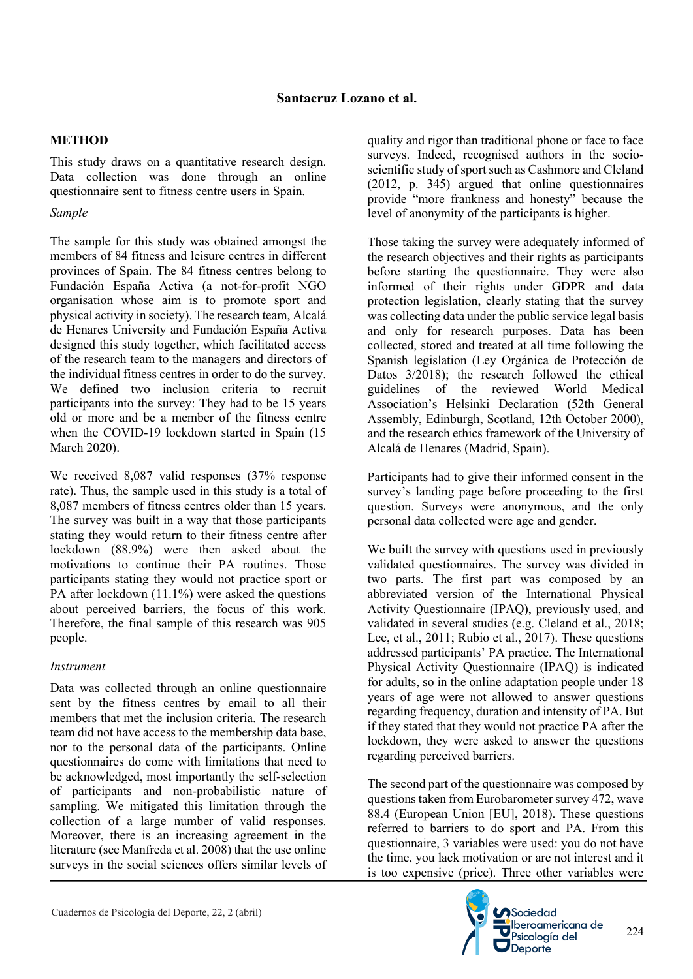#### **METHOD**

This study draws on a quantitative research design. Data collection was done through an online questionnaire sent to fitness centre users in Spain.

#### *Sample*

The sample for this study was obtained amongst the members of 84 fitness and leisure centres in different provinces of Spain. The 84 fitness centres belong to Fundación España Activa (a not-for-profit NGO organisation whose aim is to promote sport and physical activity in society). The research team, Alcalá de Henares University and Fundación España Activa designed this study together, which facilitated access of the research team to the managers and directors of the individual fitness centres in order to do the survey. We defined two inclusion criteria to recruit participants into the survey: They had to be 15 years old or more and be a member of the fitness centre when the COVID-19 lockdown started in Spain (15 March 2020).

We received 8,087 valid responses (37% response rate). Thus, the sample used in this study is a total of 8,087 members of fitness centres older than 15 years. The survey was built in a way that those participants stating they would return to their fitness centre after lockdown (88.9%) were then asked about the motivations to continue their PA routines. Those participants stating they would not practice sport or PA after lockdown (11.1%) were asked the questions about perceived barriers, the focus of this work. Therefore, the final sample of this research was 905 people.

#### *Instrument*

Data was collected through an online questionnaire sent by the fitness centres by email to all their members that met the inclusion criteria. The research team did not have access to the membership data base, nor to the personal data of the participants. Online questionnaires do come with limitations that need to be acknowledged, most importantly the self-selection of participants and non-probabilistic nature of sampling. We mitigated this limitation through the collection of a large number of valid responses. Moreover, there is an increasing agreement in the literature (see Manfreda et al. 2008) that the use online surveys in the social sciences offers similar levels of

quality and rigor than traditional phone or face to face surveys. Indeed, recognised authors in the socioscientific study of sport such as Cashmore and Cleland (2012, p. 345) argued that online questionnaires provide "more frankness and honesty" because the level of anonymity of the participants is higher.

Those taking the survey were adequately informed of the research objectives and their rights as participants before starting the questionnaire. They were also informed of their rights under GDPR and data protection legislation, clearly stating that the survey was collecting data under the public service legal basis and only for research purposes. Data has been collected, stored and treated at all time following the Spanish legislation (Ley Orgánica de Protección de Datos 3/2018); the research followed the ethical guidelines of the reviewed World Medical Association's Helsinki Declaration (52th General Assembly, Edinburgh, Scotland, 12th October 2000), and the research ethics framework of the University of Alcalá de Henares (Madrid, Spain).

Participants had to give their informed consent in the survey's landing page before proceeding to the first question. Surveys were anonymous, and the only personal data collected were age and gender.

We built the survey with questions used in previously validated questionnaires. The survey was divided in two parts. The first part was composed by an abbreviated version of the International Physical Activity Questionnaire (IPAQ), previously used, and validated in several studies (e.g. Cleland et al., 2018; Lee, et al., 2011; Rubio et al., 2017). These questions addressed participants' PA practice. The International Physical Activity Questionnaire (IPAQ) is indicated for adults, so in the online adaptation people under 18 years of age were not allowed to answer questions regarding frequency, duration and intensity of PA. But if they stated that they would not practice PA after the lockdown, they were asked to answer the questions regarding perceived barriers.

The second part of the questionnaire was composed by questions taken from Eurobarometer survey 472, wave 88.4 (European Union [EU], 2018). These questions referred to barriers to do sport and PA. From this questionnaire, 3 variables were used: you do not have the time, you lack motivation or are not interest and it is too expensive (price). Three other variables were

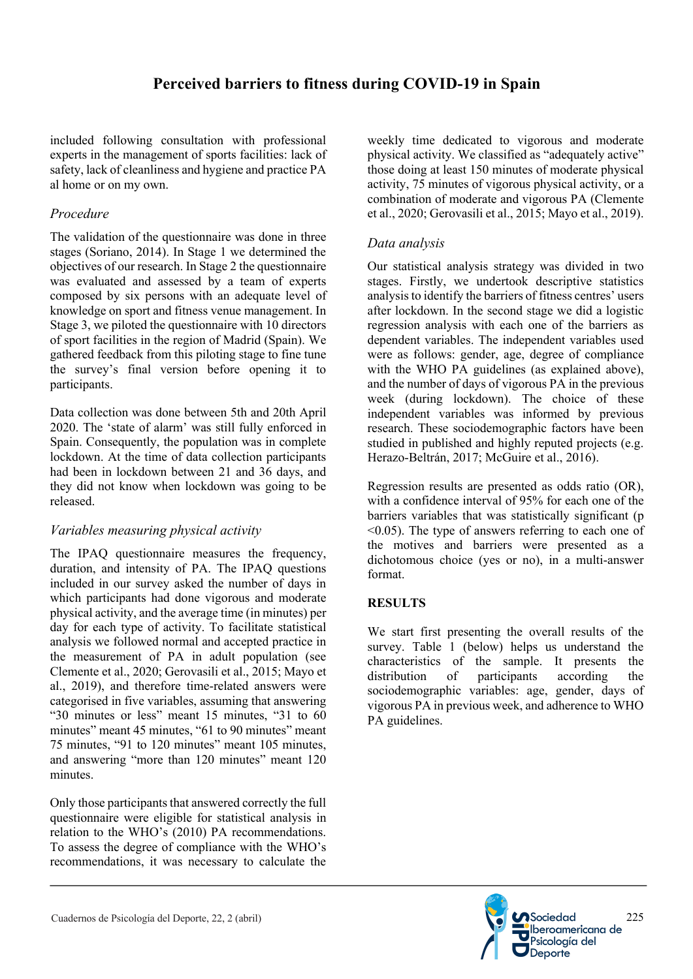### **Perceived barriers to fitness during COVID-19 in Spain**

included following consultation with professional experts in the management of sports facilities: lack of safety, lack of cleanliness and hygiene and practice PA al home or on my own.

#### *Procedure*

The validation of the questionnaire was done in three stages (Soriano, 2014). In Stage 1 we determined the objectives of our research. In Stage 2 the questionnaire was evaluated and assessed by a team of experts composed by six persons with an adequate level of knowledge on sport and fitness venue management. In Stage 3, we piloted the questionnaire with 10 directors of sport facilities in the region of Madrid (Spain). We gathered feedback from this piloting stage to fine tune the survey's final version before opening it to participants.

Data collection was done between 5th and 20th April 2020. The 'state of alarm' was still fully enforced in Spain. Consequently, the population was in complete lockdown. At the time of data collection participants had been in lockdown between 21 and 36 days, and they did not know when lockdown was going to be released.

#### *Variables measuring physical activity*

The IPAQ questionnaire measures the frequency, duration, and intensity of PA. The IPAQ questions included in our survey asked the number of days in which participants had done vigorous and moderate physical activity, and the average time (in minutes) per day for each type of activity. To facilitate statistical analysis we followed normal and accepted practice in the measurement of PA in adult population (see Clemente et al., 2020; Gerovasili et al., 2015; Mayo et al., 2019), and therefore time-related answers were categorised in five variables, assuming that answering "30 minutes or less" meant 15 minutes, "31 to 60 minutes" meant 45 minutes, "61 to 90 minutes" meant 75 minutes, "91 to 120 minutes" meant 105 minutes, and answering "more than 120 minutes" meant 120 minutes.

Only those participants that answered correctly the full questionnaire were eligible for statistical analysis in relation to the WHO's (2010) PA recommendations. To assess the degree of compliance with the WHO's recommendations, it was necessary to calculate the weekly time dedicated to vigorous and moderate physical activity. We classified as "adequately active" those doing at least 150 minutes of moderate physical activity, 75 minutes of vigorous physical activity, or a combination of moderate and vigorous PA (Clemente et al., 2020; Gerovasili et al., 2015; Mayo et al., 2019).

#### *Data analysis*

Our statistical analysis strategy was divided in two stages. Firstly, we undertook descriptive statistics analysis to identify the barriers of fitness centres' users after lockdown. In the second stage we did a logistic regression analysis with each one of the barriers as dependent variables. The independent variables used were as follows: gender, age, degree of compliance with the WHO PA guidelines (as explained above), and the number of days of vigorous PA in the previous week (during lockdown). The choice of these independent variables was informed by previous research. These sociodemographic factors have been studied in published and highly reputed projects (e.g. Herazo-Beltrán, 2017; McGuire et al., 2016).

Regression results are presented as odds ratio (OR), with a confidence interval of 95% for each one of the barriers variables that was statistically significant (p  $\leq 0.05$ ). The type of answers referring to each one of the motives and barriers were presented as a dichotomous choice (yes or no), in a multi-answer format.

#### **RESULTS**

We start first presenting the overall results of the survey. Table 1 (below) helps us understand the characteristics of the sample. It presents the distribution of participants according the sociodemographic variables: age, gender, days of vigorous PA in previous week, and adherence to WHO PA guidelines.

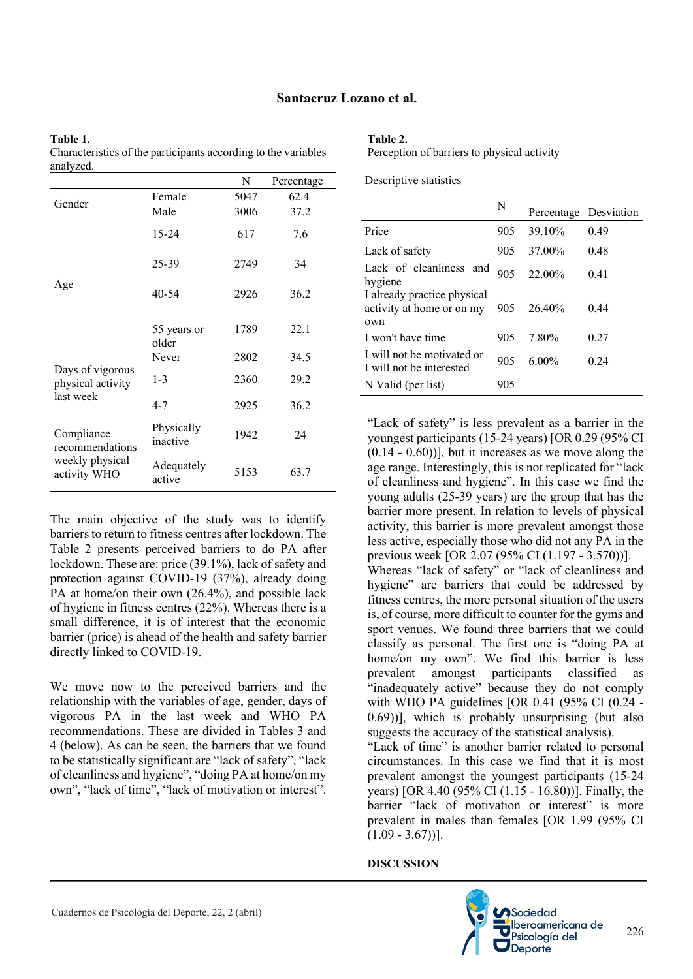## **Santacruz Lozano et al.**

| analyzed.                             |                        |      |            |
|---------------------------------------|------------------------|------|------------|
|                                       |                        | N    | Percentage |
| Gender                                | Female                 | 5047 | 62.4       |
|                                       | Male                   | 3006 | 37.2       |
|                                       | 15-24                  | 617  | 7.6        |
|                                       | 25-39                  | 2749 | 34         |
| Age                                   | $40 - 54$              | 2926 | 36.2       |
|                                       | 55 years or<br>older   | 1789 | 22.1       |
|                                       | Never                  | 2802 | 34.5       |
| Days of vigorous<br>physical activity | $1 - 3$                | 2360 | 29.2       |
| last week                             | $4 - 7$                | 2925 | 36.2       |
| Compliance<br>recommendations         | Physically<br>inactive | 1942 | 24         |
| weekly physical<br>activity WHO       | Adequately<br>active   | 5153 | 63.7       |

**Table 1.**  Characteristics of the participants according to the variables

#### The main objective of the study was to identify barriers to return to fitness centres after lockdown. The Table 2 presents perceived barriers to do PA after lockdown. These are: price (39.1%), lack of safety and protection against COVID-19 (37%), already doing PA at home/on their own (26.4%), and possible lack of hygiene in fitness centres (22%). Whereas there is a small difference, it is of interest that the economic barrier (price) is ahead of the health and safety barrier directly linked to COVID-19.

We move now to the perceived barriers and the relationship with the variables of age, gender, days of vigorous PA in the last week and WHO PA recommendations. These are divided in Tables 3 and 4 (below). As can be seen, the barriers that we found to be statistically significant are "lack of safety", "lack of cleanliness and hygiene", "doing PA at home/on my own", "lack of time", "lack of motivation or interest". **Table 2.**  Perception of barriers to physical activity

| Descriptive statistics                                          |     |                       |      |  |  |  |  |  |
|-----------------------------------------------------------------|-----|-----------------------|------|--|--|--|--|--|
|                                                                 | N   | Percentage Desviation |      |  |  |  |  |  |
| Price                                                           | 905 | 39.10%                | 0.49 |  |  |  |  |  |
| Lack of safety                                                  | 905 | 37.00%                | 0.48 |  |  |  |  |  |
| Lack of cleanliness and<br>hygiene                              | 905 | 22.00%                | 0.41 |  |  |  |  |  |
| I already practice physical<br>activity at home or on my<br>own | 905 | 26.40%                | 0.44 |  |  |  |  |  |
| I won't have time                                               | 905 | 7.80%                 | 0.27 |  |  |  |  |  |
| I will not be motivated or<br>I will not be interested          | 905 | $6.00\%$              | 0.24 |  |  |  |  |  |
| N Valid (per list)                                              | 905 |                       |      |  |  |  |  |  |

"Lack of safety" is less prevalent as a barrier in the youngest participants (15-24 years) [OR 0.29 (95% CI  $(0.14 - 0.60)$ ], but it increases as we move along the age range. Interestingly, this is not replicated for "lack of cleanliness and hygiene". In this case we find the young adults (25-39 years) are the group that has the barrier more present. In relation to levels of physical activity, this barrier is more prevalent amongst those less active, especially those who did not any PA in the previous week [OR 2.07 (95% CI (1.197 - 3.570))].

Whereas "lack of safety" or "lack of cleanliness and hygiene" are barriers that could be addressed by fitness centres, the more personal situation of the users is, of course, more difficult to counter for the gyms and sport venues. We found three barriers that we could classify as personal. The first one is "doing PA at home/on my own". We find this barrier is less prevalent amongst participants classified as "inadequately active" because they do not comply with WHO PA guidelines [OR 0.41 (95% CI (0.24 - 0.69))], which is probably unsurprising (but also suggests the accuracy of the statistical analysis).

"Lack of time" is another barrier related to personal circumstances. In this case we find that it is most prevalent amongst the youngest participants (15-24 years) [OR 4.40 (95% CI (1.15 - 16.80))]. Finally, the barrier "lack of motivation or interest" is more prevalent in males than females [OR 1.99 (95% CI  $(1.09 - 3.67))$ ].

#### **DISCUSSION**

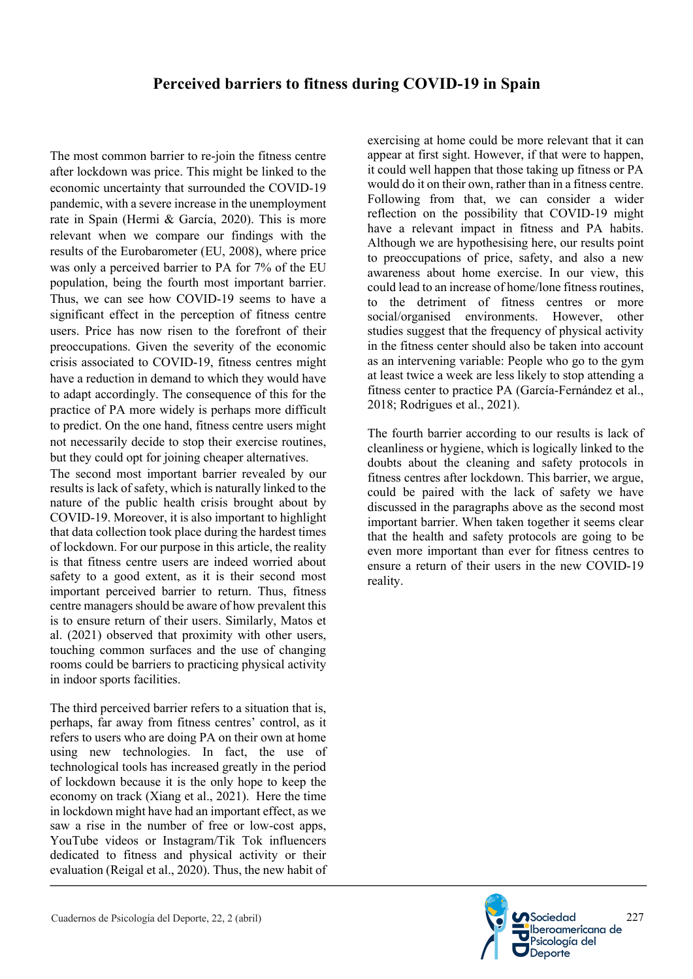The most common barrier to re-join the fitness centre after lockdown was price. This might be linked to the economic uncertainty that surrounded the COVID-19 pandemic, with a severe increase in the unemployment rate in Spain (Hermi & García, 2020). This is more relevant when we compare our findings with the results of the Eurobarometer (EU, 2008), where price was only a perceived barrier to PA for 7% of the EU population, being the fourth most important barrier. Thus, we can see how COVID-19 seems to have a significant effect in the perception of fitness centre users. Price has now risen to the forefront of their preoccupations. Given the severity of the economic crisis associated to COVID-19, fitness centres might have a reduction in demand to which they would have to adapt accordingly. The consequence of this for the practice of PA more widely is perhaps more difficult to predict. On the one hand, fitness centre users might not necessarily decide to stop their exercise routines, but they could opt for joining cheaper alternatives.

The second most important barrier revealed by our results is lack of safety, which is naturally linked to the nature of the public health crisis brought about by COVID-19. Moreover, it is also important to highlight that data collection took place during the hardest times of lockdown. For our purpose in this article, the reality is that fitness centre users are indeed worried about safety to a good extent, as it is their second most important perceived barrier to return. Thus, fitness centre managers should be aware of how prevalent this is to ensure return of their users. Similarly, Matos et al. (2021) observed that proximity with other users, touching common surfaces and the use of changing rooms could be barriers to practicing physical activity in indoor sports facilities.

The third perceived barrier refers to a situation that is, perhaps, far away from fitness centres' control, as it refers to users who are doing PA on their own at home using new technologies. In fact, the use of technological tools has increased greatly in the period of lockdown because it is the only hope to keep the economy on track (Xiang et al., 2021). Here the time in lockdown might have had an important effect, as we saw a rise in the number of free or low-cost apps, YouTube videos or Instagram/Tik Tok influencers dedicated to fitness and physical activity or their evaluation (Reigal et al., 2020). Thus, the new habit of

exercising at home could be more relevant that it can appear at first sight. However, if that were to happen, it could well happen that those taking up fitness or PA would do it on their own, rather than in a fitness centre. Following from that, we can consider a wider reflection on the possibility that COVID-19 might have a relevant impact in fitness and PA habits. Although we are hypothesising here, our results point to preoccupations of price, safety, and also a new awareness about home exercise. In our view, this could lead to an increase of home/lone fitness routines, to the detriment of fitness centres or more social/organised environments. However, other studies suggest that the frequency of physical activity in the fitness center should also be taken into account as an intervening variable: People who go to the gym at least twice a week are less likely to stop attending a fitness center to practice PA (García-Fernández et al., 2018; Rodrigues et al., 2021).

The fourth barrier according to our results is lack of cleanliness or hygiene, which is logically linked to the doubts about the cleaning and safety protocols in fitness centres after lockdown. This barrier, we argue, could be paired with the lack of safety we have discussed in the paragraphs above as the second most important barrier. When taken together it seems clear that the health and safety protocols are going to be even more important than ever for fitness centres to ensure a return of their users in the new COVID-19 reality.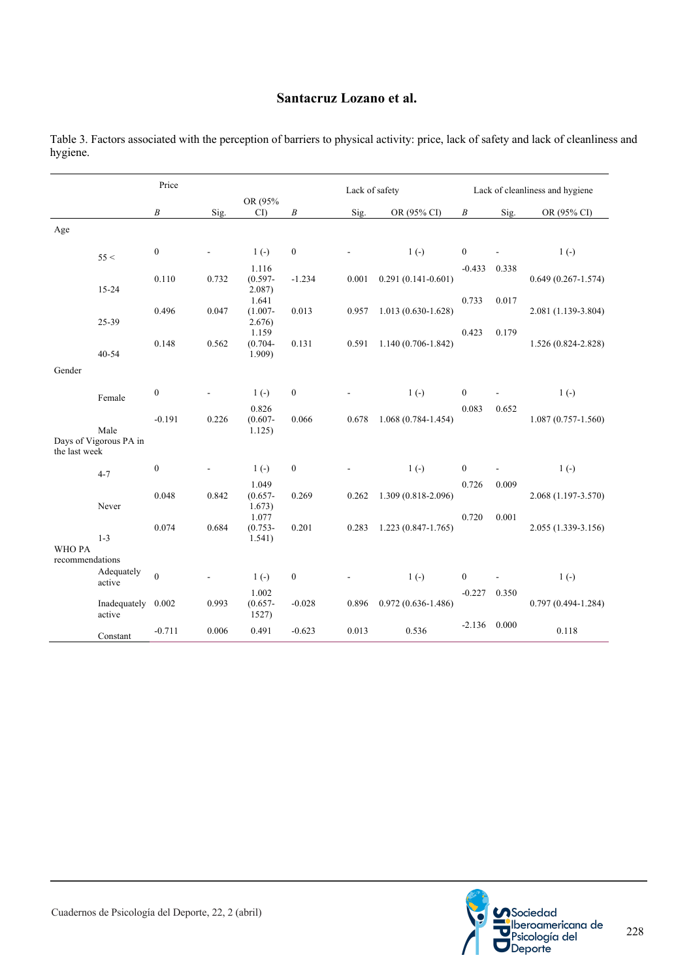#### **Santacruz Lozano et al.**

|                                 |                        | Price            |       |                                  | Lack of safety   |       |                        | Lack of cleanliness and hygiene |       |                        |
|---------------------------------|------------------------|------------------|-------|----------------------------------|------------------|-------|------------------------|---------------------------------|-------|------------------------|
|                                 |                        | $\boldsymbol{B}$ | Sig.  | OR (95%<br>CI                    | $\boldsymbol{B}$ | Sig.  | OR (95% CI)            | $\boldsymbol{B}$                | Sig.  | OR (95% CI)            |
| Age                             |                        |                  |       |                                  |                  |       |                        |                                 |       |                        |
|                                 | 55 <                   | $\boldsymbol{0}$ | L,    | $1(-)$                           | $\boldsymbol{0}$ |       | $1(-)$                 | $\boldsymbol{0}$                |       | $1(-)$                 |
|                                 | $15 - 24$              | 0.110            | 0.732 | 1.116<br>$(0.597 -$<br>$2.087$ ) | $-1.234$         | 0.001 | $0.291(0.141 - 0.601)$ | $-0.433$                        | 0.338 | $0.649(0.267 - 1.574)$ |
|                                 | 25-39                  | 0.496            | 0.047 | 1.641<br>$(1.007 -$<br>2.676)    | 0.013            | 0.957 | $1.013(0.630-1.628)$   | 0.733                           | 0.017 | 2.081 (1.139-3.804)    |
|                                 | $40 - 54$              | 0.148            | 0.562 | 1.159<br>$(0.704 -$<br>1.909     | 0.131            | 0.591 | 1.140 (0.706-1.842)    | 0.423                           | 0.179 | 1.526 (0.824-2.828)    |
| Gender                          |                        |                  |       |                                  |                  |       |                        |                                 |       |                        |
|                                 | Female                 | $\boldsymbol{0}$ |       | $1(-)$                           | $\boldsymbol{0}$ |       | $1(-)$                 | $\boldsymbol{0}$                |       | $1(-)$                 |
|                                 | Male                   | $-0.191$         | 0.226 | 0.826<br>$(0.607 -$<br>1.125)    | 0.066            | 0.678 | $1.068(0.784 - 1.454)$ | 0.083                           | 0.652 | $1.087(0.757-1.560)$   |
| the last week                   | Days of Vigorous PA in |                  |       |                                  |                  |       |                        |                                 |       |                        |
|                                 | $4 - 7$                | $\boldsymbol{0}$ |       | $1(-)$                           | $\boldsymbol{0}$ |       | $1(-)$                 | $\boldsymbol{0}$                |       | $1(-)$                 |
|                                 | Never                  | 0.048            | 0.842 | 1.049<br>$(0.657 -$<br>1.673)    | 0.269            | 0.262 | 1.309 (0.818-2.096)    | 0.726                           | 0.009 | 2.068 (1.197-3.570)    |
|                                 | $1 - 3$                | 0.074            | 0.684 | 1.077<br>$(0.753 -$<br>1.541)    | 0.201            | 0.283 | $1.223(0.847-1.765)$   | 0.720                           | 0.001 | 2.055 (1.339-3.156)    |
| <b>WHOPA</b><br>recommendations |                        |                  |       |                                  |                  |       |                        |                                 |       |                        |
|                                 | Adequately<br>active   | $\mathbf{0}$     |       | $1(-)$                           | $\boldsymbol{0}$ |       | $1(-)$                 | $\boldsymbol{0}$                |       | $1(-)$                 |
|                                 | Inadequately<br>active | 0.002            | 0.993 | 1.002<br>$(0.657 -$<br>1527)     | $-0.028$         | 0.896 | $0.972(0.636 - 1.486)$ | $-0.227$                        | 0.350 | $0.797(0.494 - 1.284)$ |
|                                 | Constant               | $-0.711$         | 0.006 | 0.491                            | $-0.623$         | 0.013 | 0.536                  | $-2.136$                        | 0.000 | 0.118                  |

Table 3. Factors associated with the perception of barriers to physical activity: price, lack of safety and lack of cleanliness and hygiene.



228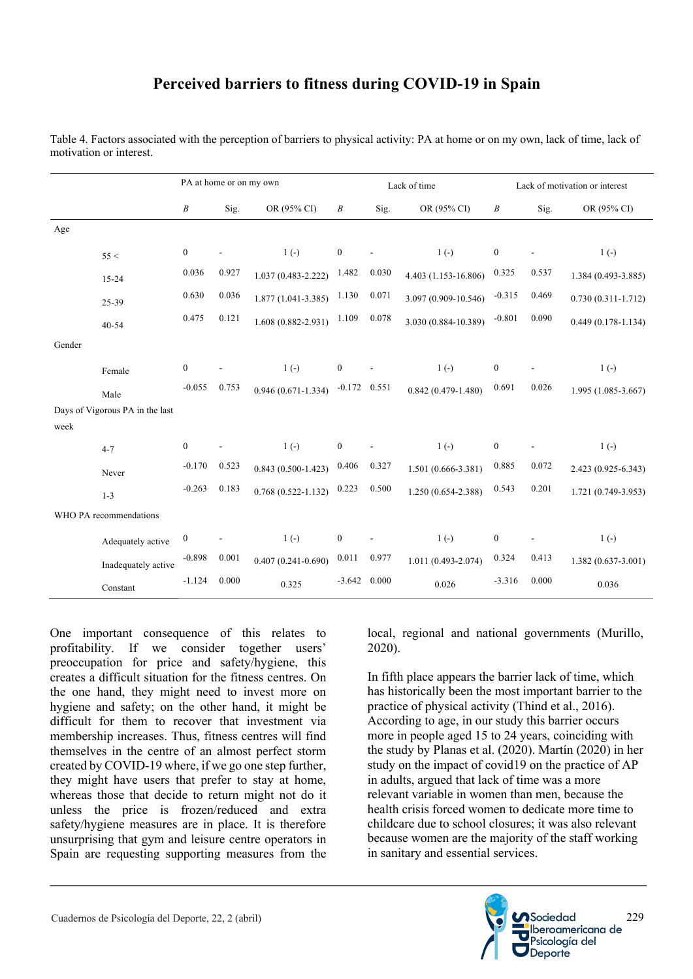## **Perceived barriers to fitness during COVID-19 in Spain**

|        |                                 | PA at home or on my own |       |                        | Lack of time     |       |                        | Lack of motivation or interest |       |                        |
|--------|---------------------------------|-------------------------|-------|------------------------|------------------|-------|------------------------|--------------------------------|-------|------------------------|
|        |                                 | $\boldsymbol{B}$        | Sig.  | OR (95% CI)            | $\boldsymbol{B}$ | Sig.  | OR (95% CI)            | $\cal B$                       | Sig.  | OR (95% CI)            |
| Age    |                                 |                         |       |                        |                  |       |                        |                                |       |                        |
|        | 55 <                            | $\boldsymbol{0}$        |       | $1(-)$                 | $\mathbf{0}$     |       | $1(-)$                 | $\boldsymbol{0}$               |       | $1(-)$                 |
|        | $15 - 24$                       | 0.036                   | 0.927 | $1.037(0.483 - 2.222)$ | 1.482            | 0.030 | 4.403 (1.153-16.806)   | 0.325                          | 0.537 | 1.384 (0.493-3.885)    |
|        | 25-39                           | 0.630                   | 0.036 | $1.877(1.041 - 3.385)$ | 1.130            | 0.071 | 3.097 (0.909-10.546)   | $-0.315$                       | 0.469 | $0.730(0.311 - 1.712)$ |
|        | $40 - 54$                       | 0.475                   | 0.121 | $1.608(0.882 - 2.931)$ | 1.109            | 0.078 | 3.030 (0.884-10.389)   | $-0.801$                       | 0.090 | $0.449(0.178-1.134)$   |
| Gender |                                 |                         |       |                        |                  |       |                        |                                |       |                        |
|        | Female                          | $\boldsymbol{0}$        |       | $1(-)$                 | $\mathbf{0}$     |       | $1(-)$                 | $\boldsymbol{0}$               |       | $1(-)$                 |
|        | Male                            | $-0.055$                | 0.753 | $0.946(0.671-1.334)$   | $-0.172$ 0.551   |       | $0.842(0.479-1.480)$   | 0.691                          | 0.026 | 1.995 (1.085-3.667)    |
|        | Days of Vigorous PA in the last |                         |       |                        |                  |       |                        |                                |       |                        |
| week   |                                 |                         |       |                        |                  |       |                        |                                |       |                        |
|        | $4 - 7$                         | $\mathbf{0}$            |       | $1(-)$                 | $\mathbf{0}$     |       | $1(-)$                 | $\boldsymbol{0}$               |       | $1(-)$                 |
|        | Never                           | $-0.170$                | 0.523 | $0.843(0.500-1.423)$   | 0.406            | 0.327 | $1.501(0.666 - 3.381)$ | 0.885                          | 0.072 | 2.423 (0.925-6.343)    |
|        | $1 - 3$                         | $-0.263$                | 0.183 | $0.768(0.522 - 1.132)$ | 0.223            | 0.500 | $1.250(0.654 - 2.388)$ | 0.543                          | 0.201 | $1.721(0.749-3.953)$   |
|        | WHO PA recommendations          |                         |       |                        |                  |       |                        |                                |       |                        |
|        | Adequately active               | $\boldsymbol{0}$        |       | $1(-)$                 | $\mathbf{0}$     |       | $1(-)$                 | $\boldsymbol{0}$               |       | $1(-)$                 |
|        | Inadequately active             | $-0.898$                | 0.001 | $0.407(0.241 - 0.690)$ | 0.011            | 0.977 | $1.011(0.493 - 2.074)$ | 0.324                          | 0.413 | $1.382(0.637 - 3.001)$ |
|        | Constant                        | $-1.124$                | 0.000 | 0.325                  | $-3.642$         | 0.000 | 0.026                  | $-3.316$                       | 0.000 | 0.036                  |

Table 4. Factors associated with the perception of barriers to physical activity: PA at home or on my own, lack of time, lack of motivation or interest.

One important consequence of this relates to profitability. If we consider together users' preoccupation for price and safety/hygiene, this creates a difficult situation for the fitness centres. On the one hand, they might need to invest more on hygiene and safety; on the other hand, it might be difficult for them to recover that investment via membership increases. Thus, fitness centres will find themselves in the centre of an almost perfect storm created by COVID-19 where, if we go one step further, they might have users that prefer to stay at home, whereas those that decide to return might not do it unless the price is frozen/reduced and extra safety/hygiene measures are in place. It is therefore unsurprising that gym and leisure centre operators in Spain are requesting supporting measures from the

local, regional and national governments (Murillo, 2020).

In fifth place appears the barrier lack of time, which has historically been the most important barrier to the practice of physical activity (Thind et al., 2016). According to age, in our study this barrier occurs more in people aged 15 to 24 years, coinciding with the study by Planas et al. (2020). Martín (2020) in her study on the impact of covid19 on the practice of AP in adults, argued that lack of time was a more relevant variable in women than men, because the health crisis forced women to dedicate more time to childcare due to school closures; it was also relevant because women are the majority of the staff working in sanitary and essential services.

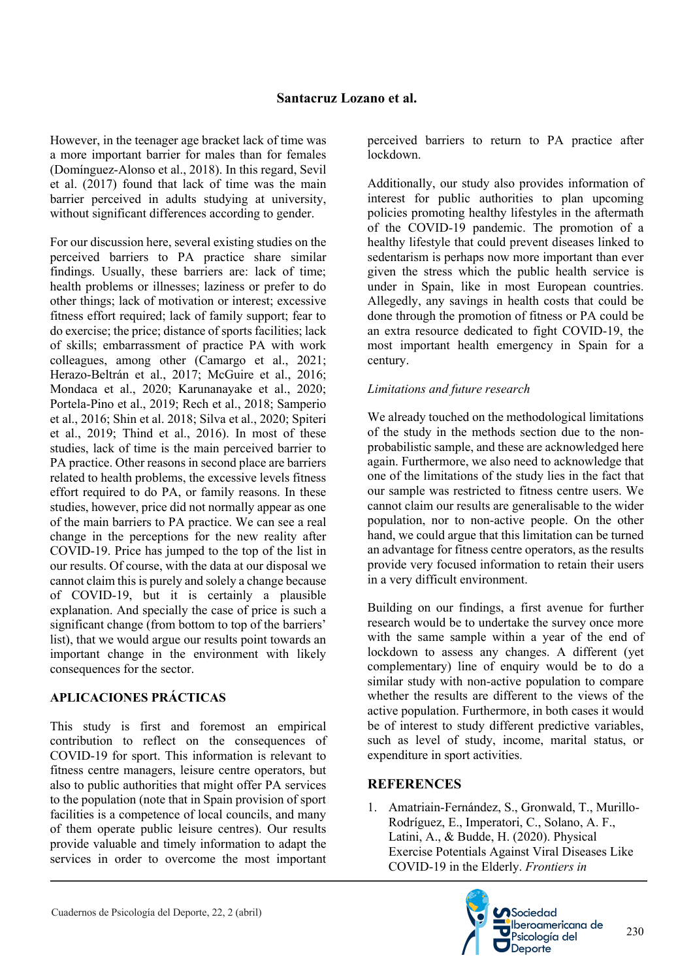However, in the teenager age bracket lack of time was a more important barrier for males than for females (Domínguez-Alonso et al., 2018). In this regard, Sevil et al. (2017) found that lack of time was the main barrier perceived in adults studying at university, without significant differences according to gender.

For our discussion here, several existing studies on the perceived barriers to PA practice share similar findings. Usually, these barriers are: lack of time; health problems or illnesses; laziness or prefer to do other things; lack of motivation or interest; excessive fitness effort required; lack of family support; fear to do exercise; the price; distance of sports facilities; lack of skills; embarrassment of practice PA with work colleagues, among other (Camargo et al., 2021; Herazo-Beltrán et al., 2017; McGuire et al., 2016; Mondaca et al., 2020; Karunanayake et al., 2020; Portela-Pino et al., 2019; Rech et al., 2018; Samperio et al., 2016; Shin et al. 2018; Silva et al., 2020; Spiteri et al., 2019; Thind et al., 2016). In most of these studies, lack of time is the main perceived barrier to PA practice. Other reasons in second place are barriers related to health problems, the excessive levels fitness effort required to do PA, or family reasons. In these studies, however, price did not normally appear as one of the main barriers to PA practice. We can see a real change in the perceptions for the new reality after COVID-19. Price has jumped to the top of the list in our results. Of course, with the data at our disposal we cannot claim this is purely and solely a change because of COVID-19, but it is certainly a plausible explanation. And specially the case of price is such a significant change (from bottom to top of the barriers' list), that we would argue our results point towards an important change in the environment with likely consequences for the sector.

### **APLICACIONES PRÁCTICAS**

This study is first and foremost an empirical contribution to reflect on the consequences of COVID-19 for sport. This information is relevant to fitness centre managers, leisure centre operators, but also to public authorities that might offer PA services to the population (note that in Spain provision of sport facilities is a competence of local councils, and many of them operate public leisure centres). Our results provide valuable and timely information to adapt the services in order to overcome the most important

perceived barriers to return to PA practice after lockdown.

Additionally, our study also provides information of interest for public authorities to plan upcoming policies promoting healthy lifestyles in the aftermath of the COVID-19 pandemic. The promotion of a healthy lifestyle that could prevent diseases linked to sedentarism is perhaps now more important than ever given the stress which the public health service is under in Spain, like in most European countries. Allegedly, any savings in health costs that could be done through the promotion of fitness or PA could be an extra resource dedicated to fight COVID-19, the most important health emergency in Spain for a century.

#### *Limitations and future research*

We already touched on the methodological limitations of the study in the methods section due to the nonprobabilistic sample, and these are acknowledged here again. Furthermore, we also need to acknowledge that one of the limitations of the study lies in the fact that our sample was restricted to fitness centre users. We cannot claim our results are generalisable to the wider population, nor to non-active people. On the other hand, we could argue that this limitation can be turned an advantage for fitness centre operators, as the results provide very focused information to retain their users in a very difficult environment.

Building on our findings, a first avenue for further research would be to undertake the survey once more with the same sample within a year of the end of lockdown to assess any changes. A different (yet complementary) line of enquiry would be to do a similar study with non-active population to compare whether the results are different to the views of the active population. Furthermore, in both cases it would be of interest to study different predictive variables, such as level of study, income, marital status, or expenditure in sport activities.

### **REFERENCES**

1. Amatriain-Fernández, S., Gronwald, T., Murillo-Rodríguez, E., Imperatori, C., Solano, A. F., Latini, A., & Budde, H. (2020). Physical Exercise Potentials Against Viral Diseases Like COVID-19 in the Elderly. *Frontiers in* 

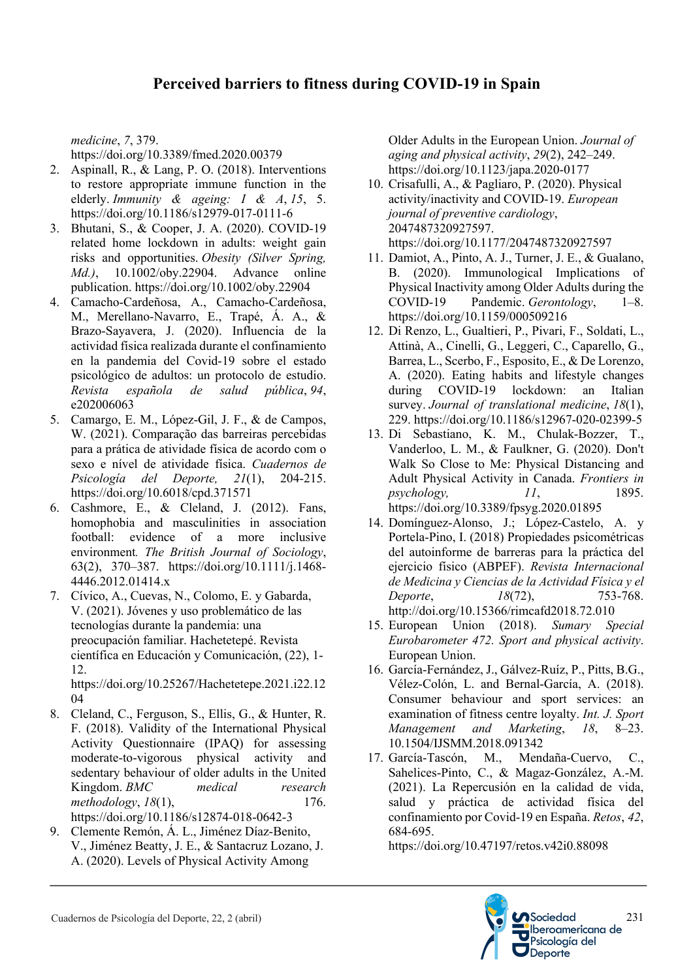*medicine*, *7*, 379.

https://doi.org/10.3389/fmed.2020.00379

- 2. Aspinall, R., & Lang, P. O. (2018). Interventions to restore appropriate immune function in the elderly. *Immunity & ageing: I & A*, *15*, 5. https://doi.org/10.1186/s12979-017-0111-6
- 3. Bhutani, S., & Cooper, J. A. (2020). COVID-19 related home lockdown in adults: weight gain risks and opportunities. *Obesity (Silver Spring, Md.)*, 10.1002/oby.22904. Advance online publication. https://doi.org/10.1002/oby.22904
- 4. Camacho-Cardeñosa, A., Camacho-Cardeñosa, M., Merellano-Navarro, E., Trapé, Á. A., & Brazo-Sayavera, J. (2020). Influencia de la actividad física realizada durante el confinamiento en la pandemia del Covid-19 sobre el estado psicológico de adultos: un protocolo de estudio. *Revista española de salud pública*, *94*, e202006063
- 5. Camargo, E. M., López-Gil, J. F., & de Campos, W. (2021). Comparação das barreiras percebidas para a prática de atividade física de acordo com o sexo e nível de atividade física. *Cuadernos de Psicología del Deporte, 21*(1), 204-215. https://doi.org/10.6018/cpd.371571
- 6. Cashmore, E., & Cleland, J. (2012). Fans, homophobia and masculinities in association football: evidence of a more inclusive environment*. The British Journal of Sociology*, 63(2), 370–387. https://doi.org/10.1111/j.1468- 4446.2012.01414.x
- 7. Cívico, A., Cuevas, N., Colomo, E. y Gabarda, V. (2021). Jóvenes y uso problemático de las tecnologías durante la pandemia: una preocupación familiar. Hachetetepé. Revista científica en Educación y Comunicación, (22), 1- 12.

https://doi.org/10.25267/Hachetetepe.2021.i22.12 04

- 8. Cleland, C., Ferguson, S., Ellis, G., & Hunter, R. F. (2018). Validity of the International Physical Activity Questionnaire (IPAQ) for assessing moderate-to-vigorous physical activity and sedentary behaviour of older adults in the United Kingdom. *BMC medical research methodology*, *18*(1), 176. https://doi.org/10.1186/s12874-018-0642-3
- 9. Clemente Remón, Á. L., Jiménez Díaz-Benito, V., Jiménez Beatty, J. E., & Santacruz Lozano, J. A. (2020). Levels of Physical Activity Among

Older Adults in the European Union. *Journal of aging and physical activity*, *29*(2), 242–249. https://doi.org/10.1123/japa.2020-0177

- 10. Crisafulli, A., & Pagliaro, P. (2020). Physical activity/inactivity and COVID-19. *European journal of preventive cardiology*, 2047487320927597. https://doi.org/10.1177/2047487320927597
- 11. Damiot, A., Pinto, A. J., Turner, J. E., & Gualano, B. (2020). Immunological Implications of Physical Inactivity among Older Adults during the COVID-19 Pandemic. *Gerontology*, 1–8. https://doi.org/10.1159/000509216
- 12. Di Renzo, L., Gualtieri, P., Pivari, F., Soldati, L., Attinà, A., Cinelli, G., Leggeri, C., Caparello, G., Barrea, L., Scerbo, F., Esposito, E., & De Lorenzo, A. (2020). Eating habits and lifestyle changes during COVID-19 lockdown: an Italian survey. *Journal of translational medicine*, *18*(1), 229. https://doi.org/10.1186/s12967-020-02399-5
- 13. Di Sebastiano, K. M., Chulak-Bozzer, T., Vanderloo, L. M., & Faulkner, G. (2020). Don't Walk So Close to Me: Physical Distancing and Adult Physical Activity in Canada. *Frontiers in psychology, 11*, 1895. https://doi.org/10.3389/fpsyg.2020.01895
- 14. Domínguez-Alonso, J.; López-Castelo, A. y Portela-Pino, I. (2018) Propiedades psicométricas del autoinforme de barreras para la práctica del ejercicio físico (ABPEF). *Revista Internacional de Medicina y Ciencias de la Actividad Física y el Deporte*, *18*(72), 753-768. http://doi.org/10.15366/rimcafd2018.72.010
- 15. European Union (2018). *Sumary Special Eurobarometer 472. Sport and physical activity*. European Union.
- 16. García-Fernández, J., Gálvez-Ruíz, P., Pitts, B.G., Vélez-Colón, L. and Bernal-García, A. (2018). Consumer behaviour and sport services: an examination of fitness centre loyalty. *Int. J. Sport Management and Marketing*, *18*, 8–23. 10.1504/IJSMM.2018.091342
- 17. García-Tascón, M., Mendaña-Cuervo, C., Sahelices-Pinto, C., & Magaz-González, A.-M. (2021). La Repercusión en la calidad de vida, salud y práctica de actividad física del confinamiento por Covid-19 en España. *Retos*, *42*, 684-695.

https://doi.org/10.47197/retos.v42i0.88098

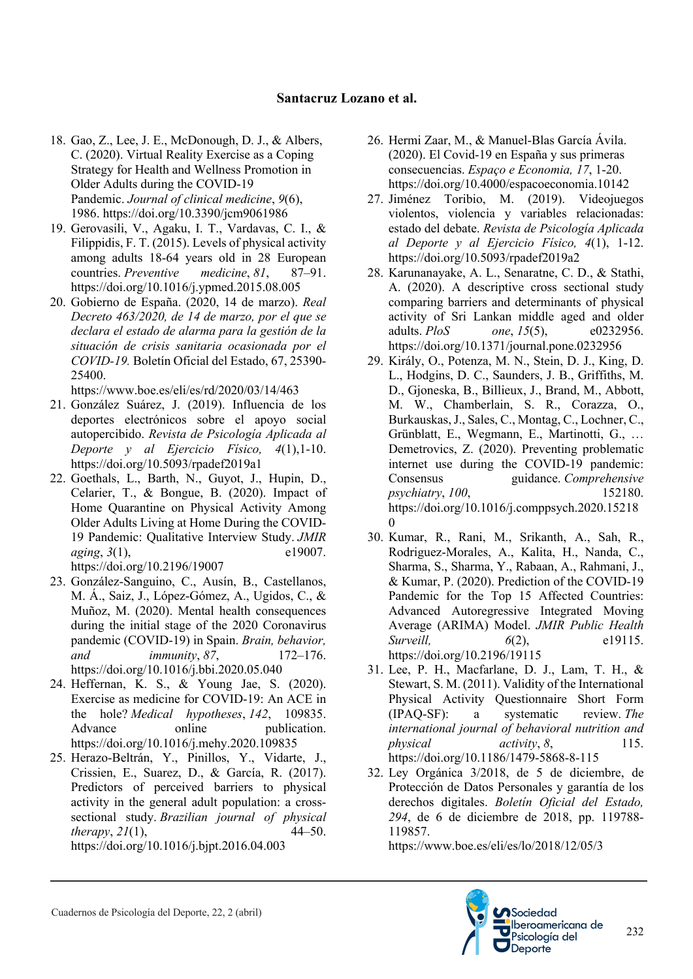- 18. Gao, Z., Lee, J. E., McDonough, D. J., & Albers, C. (2020). Virtual Reality Exercise as a Coping Strategy for Health and Wellness Promotion in Older Adults during the COVID-19 Pandemic. *Journal of clinical medicine*, *9*(6), 1986. https://doi.org/10.3390/jcm9061986
- 19. Gerovasili, V., Agaku, I. T., Vardavas, C. I., & Filippidis, F. T. (2015). Levels of physical activity among adults 18-64 years old in 28 European countries. *Preventive medicine*, *81*, 87–91. https://doi.org/10.1016/j.ypmed.2015.08.005
- 20. Gobierno de España. (2020, 14 de marzo). *Real Decreto 463/2020, de 14 de marzo, por el que se declara el estado de alarma para la gestión de la situación de crisis sanitaria ocasionada por el COVID-19.* Boletín Oficial del Estado, 67, 25390- 25400.

https://www.boe.es/eli/es/rd/2020/03/14/463

- 21. González Suárez, J. (2019). Influencia de los deportes electrónicos sobre el apoyo social autopercibido. *Revista de Psicología Aplicada al Deporte y al Ejercicio Físico, 4*(1),1-10. https://doi.org/10.5093/rpadef2019a1
- 22. Goethals, L., Barth, N., Guyot, J., Hupin, D., Celarier, T., & Bongue, B. (2020). Impact of Home Quarantine on Physical Activity Among Older Adults Living at Home During the COVID-19 Pandemic: Qualitative Interview Study. *JMIR aging*, 3(1), e19007. https://doi.org/10.2196/19007
- 23. González-Sanguino, C., Ausín, B., Castellanos, M. Á., Saiz, J., López-Gómez, A., Ugidos, C., & Muñoz, M. (2020). Mental health consequences during the initial stage of the 2020 Coronavirus pandemic (COVID-19) in Spain. *Brain, behavior, and immunity*, *87*, 172–176. https://doi.org/10.1016/j.bbi.2020.05.040
- 24. Heffernan, K. S., & Young Jae, S. (2020). Exercise as medicine for COVID-19: An ACE in the hole? *Medical hypotheses*, *142*, 109835. Advance online publication. https://doi.org/10.1016/j.mehy.2020.109835
- 25. Herazo-Beltrán, Y., Pinillos, Y., Vidarte, J., Crissien, E., Suarez, D., & García, R. (2017). Predictors of perceived barriers to physical activity in the general adult population: a crosssectional study. *Brazilian journal of physical therapy*, *21*(1), 44–50. https://doi.org/10.1016/j.bjpt.2016.04.003
- 26. Hermi Zaar, M., & Manuel-Blas García Ávila. (2020). El Covid-19 en España y sus primeras consecuencias. *Espaço e Economia, 17*, 1-20. https://doi.org/10.4000/espacoeconomia.10142
- 27. Jiménez Toribio, M. (2019). Videojuegos violentos, violencia y variables relacionadas: estado del debate. *Revista de Psicología Aplicada al Deporte y al Ejercicio Físico, 4*(1), 1-12. https://doi.org/10.5093/rpadef2019a2
- 28. Karunanayake, A. L., Senaratne, C. D., & Stathi, A. (2020). A descriptive cross sectional study comparing barriers and determinants of physical activity of Sri Lankan middle aged and older adults. *PloS one*, *15*(5), e0232956. https://doi.org/10.1371/journal.pone.0232956
- 29. Király, O., Potenza, M. N., Stein, D. J., King, D. L., Hodgins, D. C., Saunders, J. B., Griffiths, M. D., Gjoneska, B., Billieux, J., Brand, M., Abbott, M. W., Chamberlain, S. R., Corazza, O., Burkauskas, J., Sales, C., Montag, C., Lochner, C., Grünblatt, E., Wegmann, E., Martinotti, G., … Demetrovics, Z. (2020). Preventing problematic internet use during the COVID-19 pandemic: Consensus guidance. *Comprehensive psychiatry*, *100*, 152180. https://doi.org/10.1016/j.comppsych.2020.15218 0
- 30. Kumar, R., Rani, M., Srikanth, A., Sah, R., Rodriguez-Morales, A., Kalita, H., Nanda, C., Sharma, S., Sharma, Y., Rabaan, A., Rahmani, J., & Kumar, P. (2020). Prediction of the COVID-19 Pandemic for the Top 15 Affected Countries: Advanced Autoregressive Integrated Moving Average (ARIMA) Model. *JMIR Public Health Surveill,* 6(2), e19115. https://doi.org/10.2196/19115
- 31. Lee, P. H., Macfarlane, D. J., Lam, T. H., & Stewart, S. M. (2011). Validity of the International Physical Activity Questionnaire Short Form (IPAQ-SF): a systematic review. *The international journal of behavioral nutrition and physical activity*, *8*, 115. https://doi.org/10.1186/1479-5868-8-115
- 32. Ley Orgánica 3/2018, de 5 de diciembre, de Protección de Datos Personales y garantía de los derechos digitales. *Boletín Oficial del Estado, 294*, de 6 de diciembre de 2018, pp. 119788- 119857.

https://www.boe.es/eli/es/lo/2018/12/05/3



232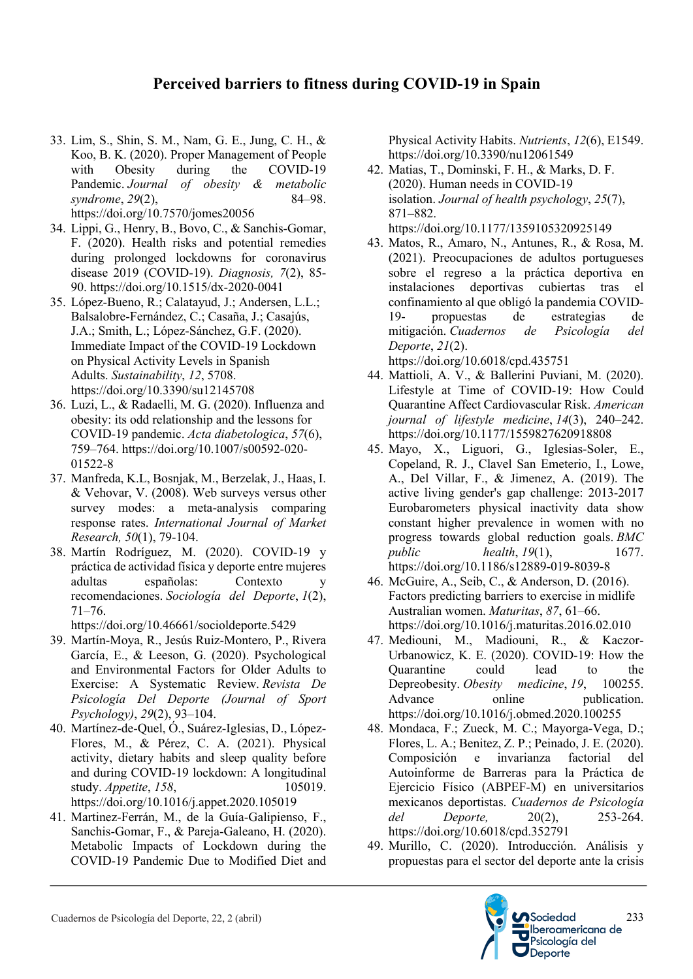## **Perceived barriers to fitness during COVID-19 in Spain**

- 33. Lim, S., Shin, S. M., Nam, G. E., Jung, C. H., & Koo, B. K. (2020). Proper Management of People with Obesity during the COVID-19 Pandemic. *Journal of obesity & metabolic syndrome*, 29(2), 84–98. https://doi.org/10.7570/jomes20056
- 34. Lippi, G., Henry, B., Bovo, C., & Sanchis-Gomar, F. (2020). Health risks and potential remedies during prolonged lockdowns for coronavirus disease 2019 (COVID-19). *Diagnosis, 7*(2), 85- 90. https://doi.org/10.1515/dx-2020-0041
- 35. López-Bueno, R.; Calatayud, J.; Andersen, L.L.; Balsalobre-Fernández, C.; Casaña, J.; Casajús, J.A.; Smith, L.; López-Sánchez, G.F. (2020). Immediate Impact of the COVID-19 Lockdown on Physical Activity Levels in Spanish Adults. *Sustainability*, *12*, 5708. https://doi.org/10.3390/su12145708
- 36. Luzi, L., & Radaelli, M. G. (2020). Influenza and obesity: its odd relationship and the lessons for COVID-19 pandemic. *Acta diabetologica*, *57*(6), 759–764. https://doi.org/10.1007/s00592-020- 01522-8
- 37. Manfreda, K.L, Bosnjak, M., Berzelak, J., Haas, I. & Vehovar, V. (2008). Web surveys versus other survey modes: a meta-analysis comparing response rates. *International Journal of Market Research, 50*(1), 79-104.
- 38. Martín Rodríguez, M. (2020). COVID-19 y práctica de actividad física y deporte entre mujeres adultas españolas: Contexto y recomendaciones. *Sociología del Deporte*, *1*(2), 71–76.

https://doi.org/10.46661/socioldeporte.5429

- 39. Martín-Moya, R., Jesús Ruiz-Montero, P., Rivera García, E., & Leeson, G. (2020). Psychological and Environmental Factors for Older Adults to Exercise: A Systematic Review. *Revista De Psicología Del Deporte (Journal of Sport Psychology)*, *29*(2), 93–104.
- 40. Martínez-de-Quel, Ó., Suárez-Iglesias, D., López-Flores, M., & Pérez, C. A. (2021). Physical activity, dietary habits and sleep quality before and during COVID-19 lockdown: A longitudinal study. *Appetite*, 158, 105019. https://doi.org/10.1016/j.appet.2020.105019
- 41. Martinez-Ferrán, M., de la Guía-Galipienso, F., Sanchis-Gomar, F., & Pareja-Galeano, H. (2020). Metabolic Impacts of Lockdown during the COVID-19 Pandemic Due to Modified Diet and

Physical Activity Habits. *Nutrients*, *12*(6), E1549. https://doi.org/10.3390/nu12061549

42. Matias, T., Dominski, F. H., & Marks, D. F. (2020). Human needs in COVID-19 isolation. *Journal of health psychology*, *25*(7), 871–882.

https://doi.org/10.1177/1359105320925149

43. Matos, R., Amaro, N., Antunes, R., & Rosa, M. (2021). Preocupaciones de adultos portugueses sobre el regreso a la práctica deportiva en instalaciones deportivas cubiertas tras el confinamiento al que obligó la pandemia COVID-19- propuestas de estrategias de mitigación. *Cuadernos de Psicología del Deporte*, *21*(2).

https://doi.org/10.6018/cpd.435751

- 44. Mattioli, A. V., & Ballerini Puviani, M. (2020). Lifestyle at Time of COVID-19: How Could Quarantine Affect Cardiovascular Risk. *American journal of lifestyle medicine*, *14*(3), 240–242. https://doi.org/10.1177/1559827620918808
- 45. Mayo, X., Liguori, G., Iglesias-Soler, E., Copeland, R. J., Clavel San Emeterio, I., Lowe, A., Del Villar, F., & Jimenez, A. (2019). The active living gender's gap challenge: 2013-2017 Eurobarometers physical inactivity data show constant higher prevalence in women with no progress towards global reduction goals. *BMC public health*, *19*(1), 1677. https://doi.org/10.1186/s12889-019-8039-8
- 46. McGuire, A., Seib, C., & Anderson, D. (2016). Factors predicting barriers to exercise in midlife Australian women. *Maturitas*, *87*, 61–66. https://doi.org/10.1016/j.maturitas.2016.02.010
- 47. Mediouni, M., Madiouni, R., & Kaczor-Urbanowicz, K. E. (2020). COVID-19: How the Quarantine could lead to the Depreobesity. *Obesity medicine*, *19*, 100255. Advance online publication. https://doi.org/10.1016/j.obmed.2020.100255
- 48. Mondaca, F.; Zueck, M. C.; Mayorga-Vega, D.; Flores, L. A.; Benitez, Z. P.; Peinado, J. E. (2020). Composición e invarianza factorial del Autoinforme de Barreras para la Práctica de Ejercicio Físico (ABPEF-M) en universitarios mexicanos deportistas. *Cuadernos de Psicología del Deporte,* 20(2), 253-264. https://doi.org/10.6018/cpd.352791
- 49. Murillo, C. (2020). Introducción. Análisis y propuestas para el sector del deporte ante la crisis

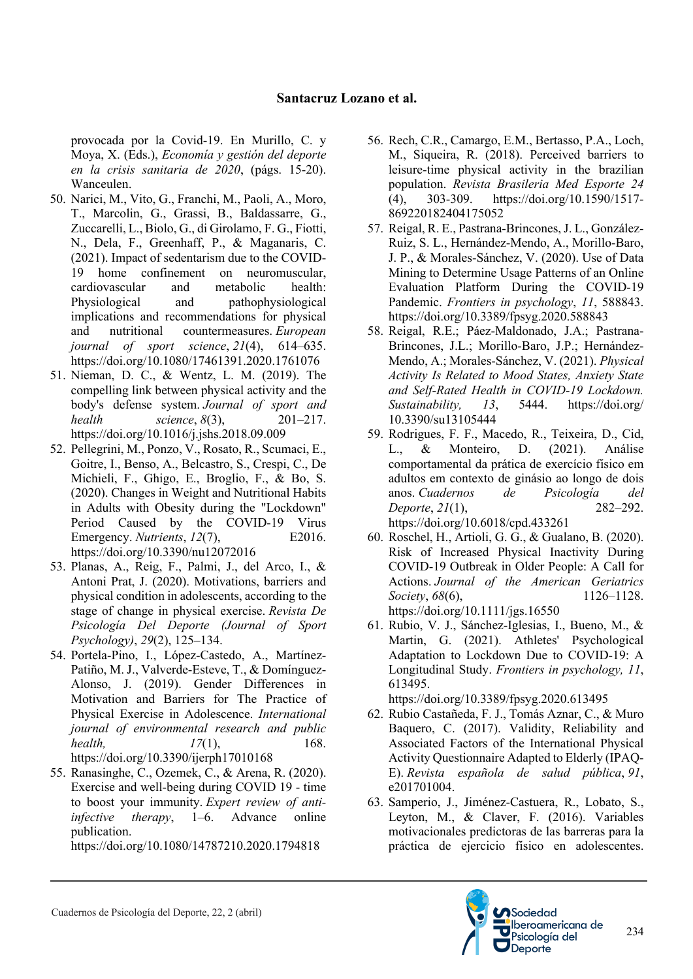provocada por la Covid-19. En Murillo, C. y Moya, X. (Eds.), *Economía y gestión del deporte en la crisis sanitaria de 2020*, (págs. 15-20). Wanceulen.

- 50. Narici, M., Vito, G., Franchi, M., Paoli, A., Moro, T., Marcolin, G., Grassi, B., Baldassarre, G., Zuccarelli, L., Biolo, G., di Girolamo, F. G., Fiotti, N., Dela, F., Greenhaff, P., & Maganaris, C. (2021). Impact of sedentarism due to the COVID-19 home confinement on neuromuscular, cardiovascular and metabolic health: Physiological and pathophysiological implications and recommendations for physical and nutritional countermeasures. *European journal of sport science*, *21*(4), 614–635. https://doi.org/10.1080/17461391.2020.1761076
- 51. Nieman, D. C., & Wentz, L. M. (2019). The compelling link between physical activity and the body's defense system. *Journal of sport and health science*, *8*(3), 201–217. https://doi.org/10.1016/j.jshs.2018.09.009
- 52. Pellegrini, M., Ponzo, V., Rosato, R., Scumaci, E., Goitre, I., Benso, A., Belcastro, S., Crespi, C., De Michieli, F., Ghigo, E., Broglio, F., & Bo, S. (2020). Changes in Weight and Nutritional Habits in Adults with Obesity during the "Lockdown" Period Caused by the COVID-19 Virus Emergency. *Nutrients*, *12*(7), E2016. https://doi.org/10.3390/nu12072016
- 53. Planas, A., Reig, F., Palmi, J., del Arco, I., & Antoni Prat, J. (2020). Motivations, barriers and physical condition in adolescents, according to the stage of change in physical exercise. *Revista De Psicología Del Deporte (Journal of Sport Psychology)*, *29*(2), 125–134.
- 54. Portela-Pino, I., López-Castedo, A., Martínez-Patiño, M. J., Valverde-Esteve, T., & Domínguez-Alonso, J. (2019). Gender Differences in Motivation and Barriers for The Practice of Physical Exercise in Adolescence. *International journal of environmental research and public health*,  $17(1)$ , 168. https://doi.org/10.3390/ijerph17010168
- 55. Ranasinghe, C., Ozemek, C., & Arena, R. (2020). Exercise and well-being during COVID 19 - time to boost your immunity. *Expert review of antiinfective therapy*, 1–6. Advance online publication.

https://doi.org/10.1080/14787210.2020.1794818

- 56. Rech, C.R., Camargo, E.M., Bertasso, P.A., Loch, M., Siqueira, R. (2018). Perceived barriers to leisure-time physical activity in the brazilian population. *Revista Brasileria Med Esporte 24* (4), 303-309. https://doi.org/10.1590/1517- 869220182404175052
- 57. Reigal, R. E., Pastrana-Brincones, J. L., González-Ruiz, S. L., Hernández-Mendo, A., Morillo-Baro, J. P., & Morales-Sánchez, V. (2020). Use of Data Mining to Determine Usage Patterns of an Online Evaluation Platform During the COVID-19 Pandemic. *Frontiers in psychology*, *11*, 588843. https://doi.org/10.3389/fpsyg.2020.588843
- 58. Reigal, R.E.; Páez-Maldonado, J.A.; Pastrana-Brincones, J.L.; Morillo-Baro, J.P.; Hernández-Mendo, A.; Morales-Sánchez, V. (2021). *Physical Activity Is Related to Mood States, Anxiety State and Self-Rated Health in COVID-19 Lockdown. Sustainability, 13*, 5444. https://doi.org/ 10.3390/su13105444
- 59. Rodrigues, F. F., Macedo, R., Teixeira, D., Cid, L., & Monteiro, D. (2021). Análise comportamental da prática de exercício físico em adultos em contexto de ginásio ao longo de dois anos. *Cuadernos de Psicología del Deporte*, *21*(1), 282–292. https://doi.org/10.6018/cpd.433261
- 60. Roschel, H., Artioli, G. G., & Gualano, B. (2020). Risk of Increased Physical Inactivity During COVID-19 Outbreak in Older People: A Call for Actions. *Journal of the American Geriatrics Society*, *68*(6), 1126–1128. https://doi.org/10.1111/jgs.16550
- 61. Rubio, V. J., Sánchez-Iglesias, I., Bueno, M., & Martin, G. (2021). Athletes' Psychological Adaptation to Lockdown Due to COVID-19: A Longitudinal Study. *Frontiers in psychology, 11*, 613495.

https://doi.org/10.3389/fpsyg.2020.613495

- 62. Rubio Castañeda, F. J., Tomás Aznar, C., & Muro Baquero, C. (2017). Validity, Reliability and Associated Factors of the International Physical Activity Questionnaire Adapted to Elderly (IPAQ-E). *Revista española de salud pública*, *91*, e201701004.
- 63. Samperio, J., Jiménez-Castuera, R., Lobato, S., Leyton, M., & Claver, F. (2016). Variables motivacionales predictoras de las barreras para la práctica de ejercicio físico en adolescentes.